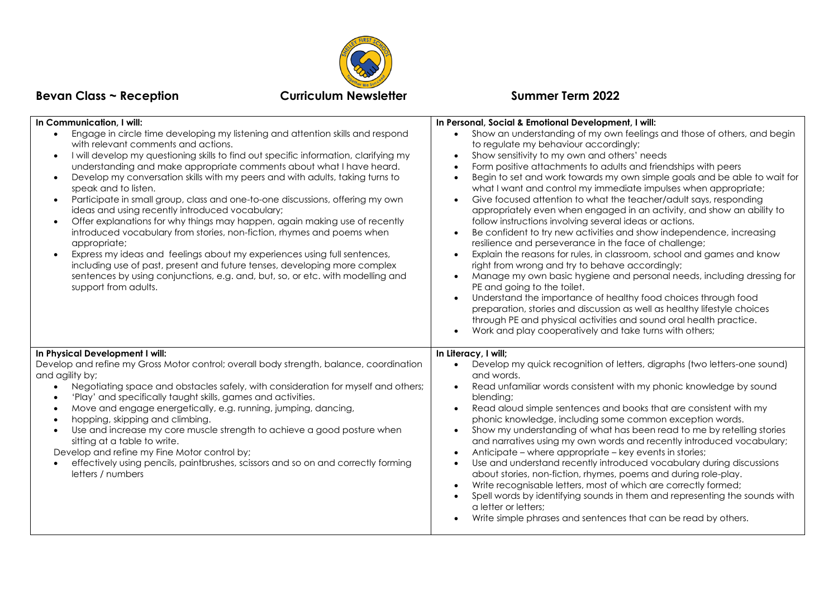

## **Bevan Class ~ Reception Curriculum Newsletter Summer Term 2022**

| In Communication, I will:                                                                                                                                                                                                                                                                                                                                                                                                                                                                                                                                                                                                                                                                                                                                                                                                                                                                                                                                                     | In Personal, Social & Emotional Development, I will:                                                                                                                                                                                                                                                                                                                                                                                                                                                                                                                                                                                                                                                                                                                                                                                                                                                                                                                                                                                                                                                                                                                                                                                               |
|-------------------------------------------------------------------------------------------------------------------------------------------------------------------------------------------------------------------------------------------------------------------------------------------------------------------------------------------------------------------------------------------------------------------------------------------------------------------------------------------------------------------------------------------------------------------------------------------------------------------------------------------------------------------------------------------------------------------------------------------------------------------------------------------------------------------------------------------------------------------------------------------------------------------------------------------------------------------------------|----------------------------------------------------------------------------------------------------------------------------------------------------------------------------------------------------------------------------------------------------------------------------------------------------------------------------------------------------------------------------------------------------------------------------------------------------------------------------------------------------------------------------------------------------------------------------------------------------------------------------------------------------------------------------------------------------------------------------------------------------------------------------------------------------------------------------------------------------------------------------------------------------------------------------------------------------------------------------------------------------------------------------------------------------------------------------------------------------------------------------------------------------------------------------------------------------------------------------------------------------|
| Engage in circle time developing my listening and attention skills and respond<br>with relevant comments and actions.<br>I will develop my questioning skills to find out specific information, clarifying my<br>understanding and make appropriate comments about what I have heard.<br>Develop my conversation skills with my peers and with adults, taking turns to<br>speak and to listen.<br>Participate in small group, class and one-to-one discussions, offering my own<br>ideas and using recently introduced vocabulary;<br>Offer explanations for why things may happen, again making use of recently<br>introduced vocabulary from stories, non-fiction, rhymes and poems when<br>appropriate;<br>Express my ideas and feelings about my experiences using full sentences,<br>including use of past, present and future tenses, developing more complex<br>sentences by using conjunctions, e.g. and, but, so, or etc. with modelling and<br>support from adults. | Show an understanding of my own feelings and those of others, and begin<br>to regulate my behaviour accordingly;<br>Show sensitivity to my own and others' needs<br>Form positive attachments to adults and friendships with peers<br>Begin to set and work towards my own simple goals and be able to wait for<br>what I want and control my immediate impulses when appropriate;<br>Give focused attention to what the teacher/adult says, responding<br>appropriately even when engaged in an activity, and show an ability to<br>follow instructions involving several ideas or actions.<br>Be confident to try new activities and show independence, increasing<br>resilience and perseverance in the face of challenge;<br>Explain the reasons for rules, in classroom, school and games and know<br>right from wrong and try to behave accordingly;<br>Manage my own basic hygiene and personal needs, including dressing for<br>PE and going to the toilet.<br>Understand the importance of healthy food choices through food<br>preparation, stories and discussion as well as healthy lifestyle choices<br>through PE and physical activities and sound oral health practice.<br>Work and play cooperatively and take turns with others; |
| In Physical Development I will:<br>Develop and refine my Gross Motor control; overall body strength, balance, coordination<br>and agility by;<br>Negotiating space and obstacles safely, with consideration for myself and others;<br>'Play' and specifically taught skills, games and activities.<br>Move and engage energetically, e.g. running, jumping, dancing,<br>hopping, skipping and climbing.<br>Use and increase my core muscle strength to achieve a good posture when<br>sitting at a table to write.<br>Develop and refine my Fine Motor control by;<br>effectively using pencils, paintbrushes, scissors and so on and correctly forming<br>letters / numbers                                                                                                                                                                                                                                                                                                  | In Literacy, I will;<br>Develop my quick recognition of letters, digraphs (two letters-one sound)<br>$\bullet$<br>and words.<br>Read unfamiliar words consistent with my phonic knowledge by sound<br>$\bullet$<br>blending;<br>Read aloud simple sentences and books that are consistent with my<br>phonic knowledge, including some common exception words.<br>Show my understanding of what has been read to me by retelling stories<br>$\bullet$<br>and narratives using my own words and recently introduced vocabulary;<br>Anticipate – where appropriate – key events in stories;<br>Use and understand recently introduced vocabulary during discussions<br>$\bullet$<br>about stories, non-fiction, rhymes, poems and during role-play.<br>Write recognisable letters, most of which are correctly formed;<br>Spell words by identifying sounds in them and representing the sounds with<br>a letter or letters;<br>Write simple phrases and sentences that can be read by others.                                                                                                                                                                                                                                                        |